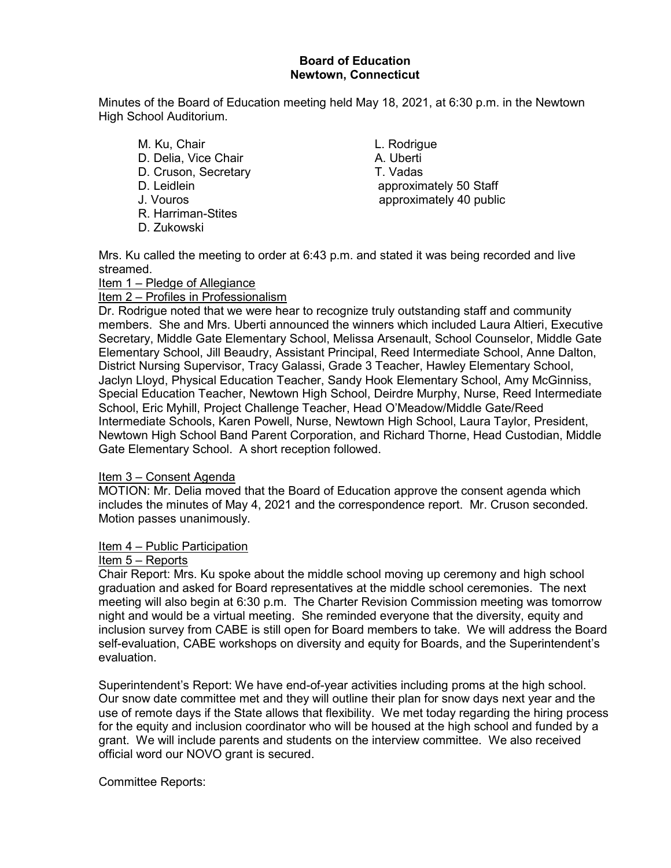### **Board of Education Newtown, Connecticut**

Minutes of the Board of Education meeting held May 18, 2021, at 6:30 p.m. in the Newtown High School Auditorium.

M. Ku, Chair L. Rodrigue D. Delia, Vice Chair D. Cruson, Secretary T. Vadas R. Harriman-Stites D. Zukowski

D. Leidlein **D. Leidlein approximately 50 Staff** J. Vouros approximately 40 public

Mrs. Ku called the meeting to order at 6:43 p.m. and stated it was being recorded and live streamed.

Item 1 – Pledge of Allegiance

Item 2 – Profiles in Professionalism

Dr. Rodrigue noted that we were hear to recognize truly outstanding staff and community members. She and Mrs. Uberti announced the winners which included Laura Altieri, Executive Secretary, Middle Gate Elementary School, Melissa Arsenault, School Counselor, Middle Gate Elementary School, Jill Beaudry, Assistant Principal, Reed Intermediate School, Anne Dalton, District Nursing Supervisor, Tracy Galassi, Grade 3 Teacher, Hawley Elementary School, Jaclyn Lloyd, Physical Education Teacher, Sandy Hook Elementary School, Amy McGinniss, Special Education Teacher, Newtown High School, Deirdre Murphy, Nurse, Reed Intermediate School, Eric Myhill, Project Challenge Teacher, Head O'Meadow/Middle Gate/Reed Intermediate Schools, Karen Powell, Nurse, Newtown High School, Laura Taylor, President, Newtown High School Band Parent Corporation, and Richard Thorne, Head Custodian, Middle Gate Elementary School. A short reception followed.

### Item 3 – Consent Agenda

MOTION: Mr. Delia moved that the Board of Education approve the consent agenda which includes the minutes of May 4, 2021 and the correspondence report. Mr. Cruson seconded. Motion passes unanimously.

# Item 4 – Public Participation

# Item 5 – Reports

Chair Report: Mrs. Ku spoke about the middle school moving up ceremony and high school graduation and asked for Board representatives at the middle school ceremonies. The next meeting will also begin at 6:30 p.m. The Charter Revision Commission meeting was tomorrow night and would be a virtual meeting. She reminded everyone that the diversity, equity and inclusion survey from CABE is still open for Board members to take. We will address the Board self-evaluation, CABE workshops on diversity and equity for Boards, and the Superintendent's evaluation.

Superintendent's Report: We have end-of-year activities including proms at the high school. Our snow date committee met and they will outline their plan for snow days next year and the use of remote days if the State allows that flexibility. We met today regarding the hiring process for the equity and inclusion coordinator who will be housed at the high school and funded by a grant. We will include parents and students on the interview committee. We also received official word our NOVO grant is secured.

# Committee Reports: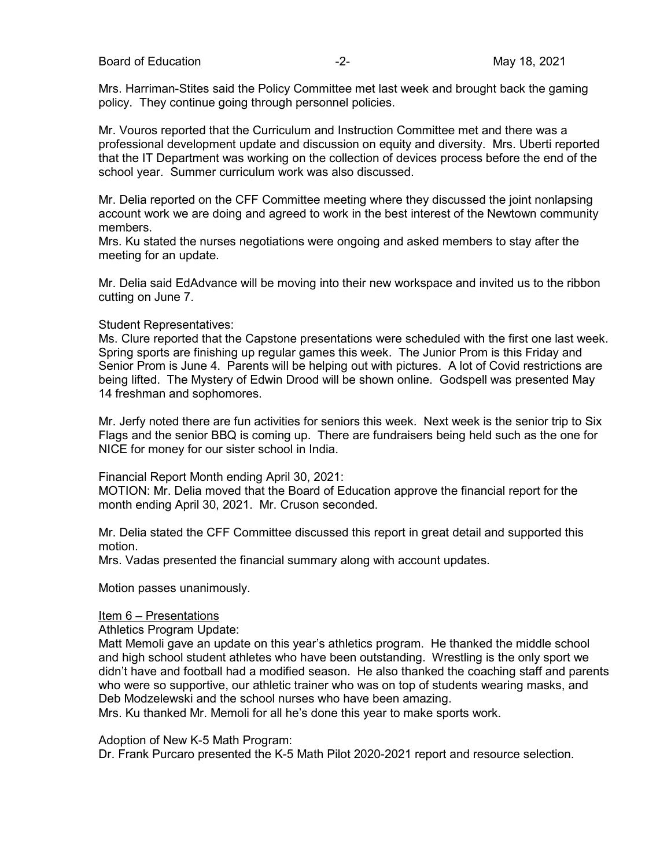Board of Education **-2-** Figure 2. The May 18, 2021

Mrs. Harriman-Stites said the Policy Committee met last week and brought back the gaming policy. They continue going through personnel policies.

Mr. Vouros reported that the Curriculum and Instruction Committee met and there was a professional development update and discussion on equity and diversity. Mrs. Uberti reported that the IT Department was working on the collection of devices process before the end of the school year. Summer curriculum work was also discussed.

Mr. Delia reported on the CFF Committee meeting where they discussed the joint nonlapsing account work we are doing and agreed to work in the best interest of the Newtown community members.

Mrs. Ku stated the nurses negotiations were ongoing and asked members to stay after the meeting for an update.

Mr. Delia said EdAdvance will be moving into their new workspace and invited us to the ribbon cutting on June 7.

### Student Representatives:

Ms. Clure reported that the Capstone presentations were scheduled with the first one last week. Spring sports are finishing up regular games this week. The Junior Prom is this Friday and Senior Prom is June 4. Parents will be helping out with pictures. A lot of Covid restrictions are being lifted. The Mystery of Edwin Drood will be shown online. Godspell was presented May 14 freshman and sophomores.

Mr. Jerfy noted there are fun activities for seniors this week. Next week is the senior trip to Six Flags and the senior BBQ is coming up. There are fundraisers being held such as the one for NICE for money for our sister school in India.

Financial Report Month ending April 30, 2021: MOTION: Mr. Delia moved that the Board of Education approve the financial report for the month ending April 30, 2021. Mr. Cruson seconded.

Mr. Delia stated the CFF Committee discussed this report in great detail and supported this motion.

Mrs. Vadas presented the financial summary along with account updates.

Motion passes unanimously.

### Item 6 – Presentations

Athletics Program Update:

Matt Memoli gave an update on this year's athletics program. He thanked the middle school and high school student athletes who have been outstanding. Wrestling is the only sport we didn't have and football had a modified season. He also thanked the coaching staff and parents who were so supportive, our athletic trainer who was on top of students wearing masks, and Deb Modzelewski and the school nurses who have been amazing.

Mrs. Ku thanked Mr. Memoli for all he's done this year to make sports work.

Adoption of New K-5 Math Program:

Dr. Frank Purcaro presented the K-5 Math Pilot 2020-2021 report and resource selection.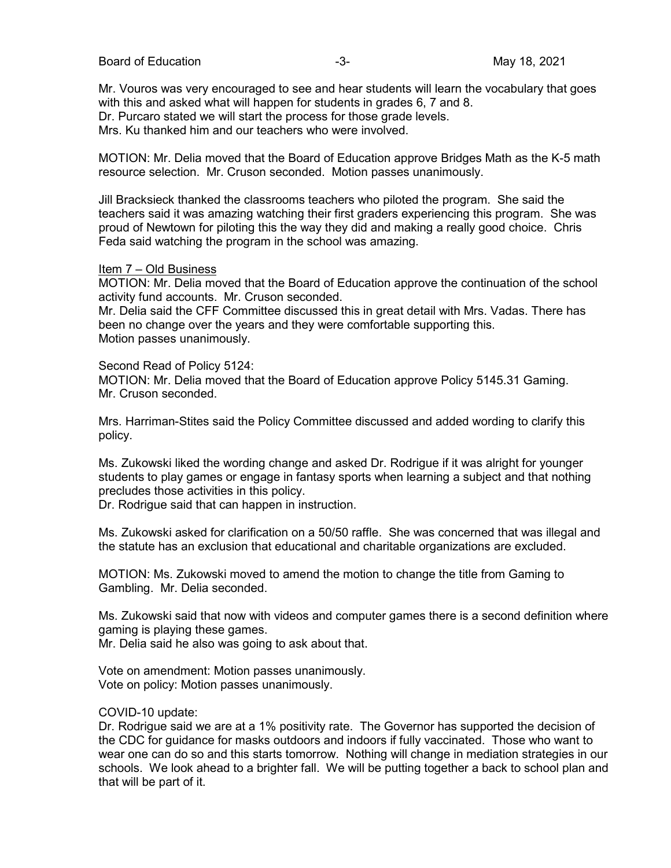Board of Education **Contact Contact Contact Contact Contact Contact Contact Contact Contact Contact Contact Contact Contact Contact Contact Contact Contact Contact Contact Contact Contact Contact Contact Contact Contact Co** 

Mr. Vouros was very encouraged to see and hear students will learn the vocabulary that goes with this and asked what will happen for students in grades 6, 7 and 8. Dr. Purcaro stated we will start the process for those grade levels. Mrs. Ku thanked him and our teachers who were involved.

MOTION: Mr. Delia moved that the Board of Education approve Bridges Math as the K-5 math resource selection. Mr. Cruson seconded. Motion passes unanimously.

Jill Bracksieck thanked the classrooms teachers who piloted the program. She said the teachers said it was amazing watching their first graders experiencing this program. She was proud of Newtown for piloting this the way they did and making a really good choice. Chris Feda said watching the program in the school was amazing.

#### Item 7 – Old Business

MOTION: Mr. Delia moved that the Board of Education approve the continuation of the school activity fund accounts. Mr. Cruson seconded.

Mr. Delia said the CFF Committee discussed this in great detail with Mrs. Vadas. There has been no change over the years and they were comfortable supporting this. Motion passes unanimously.

#### Second Read of Policy 5124:

MOTION: Mr. Delia moved that the Board of Education approve Policy 5145.31 Gaming. Mr. Cruson seconded.

Mrs. Harriman-Stites said the Policy Committee discussed and added wording to clarify this policy.

Ms. Zukowski liked the wording change and asked Dr. Rodrigue if it was alright for younger students to play games or engage in fantasy sports when learning a subject and that nothing precludes those activities in this policy.

Dr. Rodrigue said that can happen in instruction.

Ms. Zukowski asked for clarification on a 50/50 raffle. She was concerned that was illegal and the statute has an exclusion that educational and charitable organizations are excluded.

MOTION: Ms. Zukowski moved to amend the motion to change the title from Gaming to Gambling. Mr. Delia seconded.

Ms. Zukowski said that now with videos and computer games there is a second definition where gaming is playing these games.

Mr. Delia said he also was going to ask about that.

Vote on amendment: Motion passes unanimously. Vote on policy: Motion passes unanimously.

### COVID-10 update:

Dr. Rodrigue said we are at a 1% positivity rate. The Governor has supported the decision of the CDC for guidance for masks outdoors and indoors if fully vaccinated. Those who want to wear one can do so and this starts tomorrow. Nothing will change in mediation strategies in our schools. We look ahead to a brighter fall. We will be putting together a back to school plan and that will be part of it.